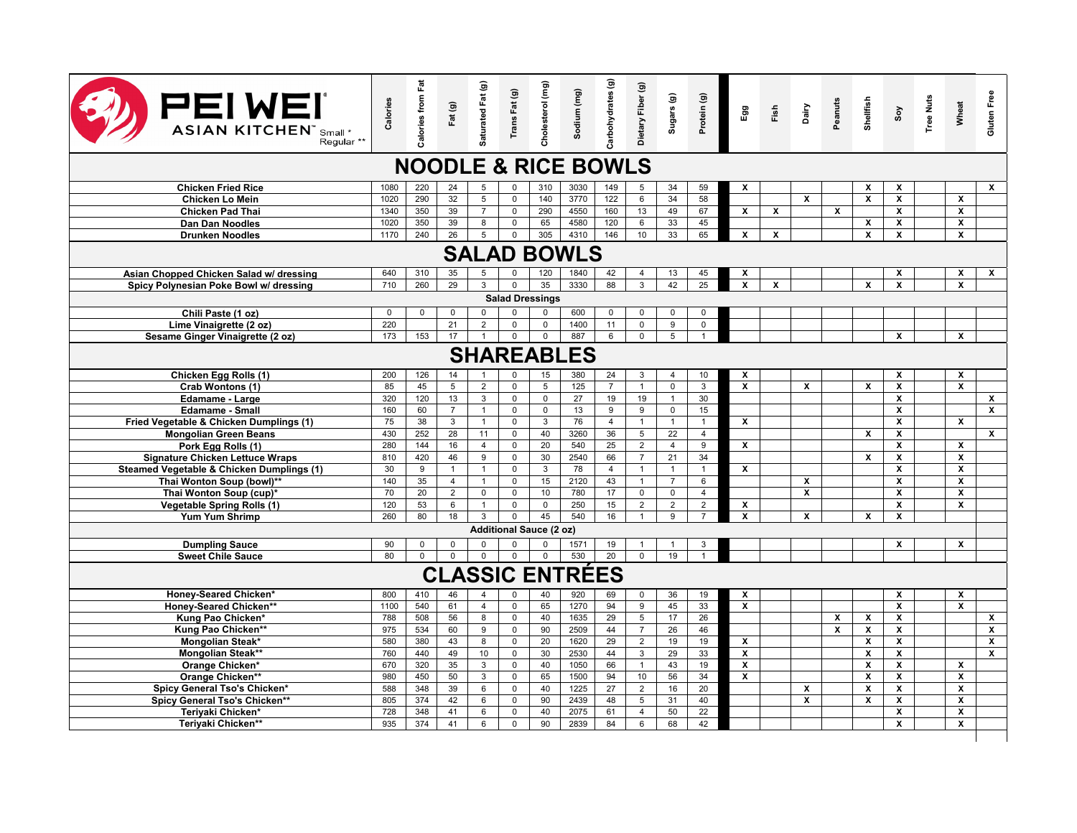| <b>PEIWEI</b><br><b>ASIAN KITCHEN"</b> Small *<br>Regular <sup>**</sup> | Calories    | <b>Calories from Fat</b> | Fat (g)        | Saturated Fat (g)    | Trans Fat (g)              | Cholesterol (mg)        | Sodium (mg)            | Carbohydrates (g) | Dietary Fiber (g)   | Sugars (g)           | Protein (g)            | Egg                     | Fish         | Dairy        | Peanuts      | Shellfish          | $\mathsf{c}_\mathsf{so}$                 | <b>Tree Nuts</b> | Wheat                        | Gluten Free             |
|-------------------------------------------------------------------------|-------------|--------------------------|----------------|----------------------|----------------------------|-------------------------|------------------------|-------------------|---------------------|----------------------|------------------------|-------------------------|--------------|--------------|--------------|--------------------|------------------------------------------|------------------|------------------------------|-------------------------|
| <b>NOODLE &amp; RICE BOWLS</b>                                          |             |                          |                |                      |                            |                         |                        |                   |                     |                      |                        |                         |              |              |              |                    |                                          |                  |                              |                         |
| <b>Chicken Fried Rice</b>                                               | 1080        | 220                      | 24             | 5                    | $\Omega$                   | 310                     | 3030                   | 149               | 5                   | 34                   | 59                     | x                       |              |              |              | X                  | X                                        |                  |                              | $\mathsf{x}$            |
| <b>Chicken Lo Mein</b>                                                  | 1020        | 290                      | 32             | 5                    | $\mathbf 0$                | 140                     | 3770                   | 122               | 6                   | 34                   | 58                     |                         |              | $\mathbf{x}$ |              | $\boldsymbol{x}$   | X                                        |                  | X                            |                         |
| Chicken Pad Thai                                                        | 1340        | 350                      | 39             | $\overline{7}$       | $\Omega$                   | 290                     | 4550                   | 160               | 13                  | 49                   | 67                     | x                       | X            |              | X            |                    | $\overline{\mathbf{x}}$                  |                  | $\overline{\mathbf{x}}$      |                         |
| Dan Dan Noodles                                                         | 1020        | 350                      | 39             | 8                    | $\mathsf 0$                | 65                      | 4580                   | 120               | 6                   | 33                   | 45                     |                         |              |              |              | X                  | X                                        |                  | x                            |                         |
| <b>Drunken Noodles</b>                                                  | 1170        | 240                      | 26             | 5                    | $\mathbf 0$                | 305                     | 4310                   | 146               | 10                  | 33                   | 65                     | $\mathbf{x}$            | $\mathbf{x}$ |              |              | $\boldsymbol{x}$   | X                                        |                  | X                            |                         |
| <b>SALAD BOWLS</b>                                                      |             |                          |                |                      |                            |                         |                        |                   |                     |                      |                        |                         |              |              |              |                    |                                          |                  |                              |                         |
| Asian Chopped Chicken Salad w/ dressing                                 | 640         | 310                      | 35             | 5                    | $\mathbf 0$                | 120                     | 1840                   | 42                | $\overline{4}$      | 13                   | 45                     | x                       |              |              |              |                    | X                                        |                  | x                            | x                       |
| Spicy Polynesian Poke Bowl w/ dressing                                  | 710         | 260                      | 29             | 3                    | $\mathbf 0$                | 35                      | 3330                   | 88                | $\mathbf{3}$        | 42                   | 25                     | $\overline{\mathbf{x}}$ | $\mathbf{x}$ |              |              | $\mathbf{x}$       | $\overline{\mathbf{x}}$                  |                  | $\overline{\mathbf{x}}$      |                         |
| <b>Salad Dressings</b>                                                  |             |                          |                |                      |                            |                         |                        |                   |                     |                      |                        |                         |              |              |              |                    |                                          |                  |                              |                         |
| Chili Paste (1 oz)                                                      | $\mathbf 0$ | $\mathsf 0$              | $\mathsf 0$    | $\mathbf 0$          | 0                          | 0                       | 600                    | $\mathsf 0$       | 0                   | $\mathsf 0$          | $\mathbf 0$            |                         |              |              |              |                    |                                          |                  |                              |                         |
| Lime Vinaigrette (2 oz)                                                 | 220         |                          | 21             | $\overline{2}$       | $\mathsf 0$                | $\overline{0}$          | 1400                   | 11                | $\mathsf 0$         | $\overline{9}$       | $\overline{0}$         |                         |              |              |              |                    |                                          |                  |                              |                         |
| Sesame Ginger Vinaigrette (2 oz)                                        | 173         | 153                      | 17             |                      | $\mathbf{0}$               | $\overline{0}$          | 887                    | 6                 | $\Omega$            | $\overline{5}$       | $\overline{1}$         |                         |              |              |              |                    | X                                        |                  | <b>X</b>                     |                         |
| <b>SHAREABLES</b>                                                       |             |                          |                |                      |                            |                         |                        |                   |                     |                      |                        |                         |              |              |              |                    |                                          |                  |                              |                         |
| Chicken Egg Rolls (1)                                                   | 200         | 126                      | 14             | $\overline{1}$       | $\mathbf 0$                | 15                      | 380                    | 24                | 3                   | $\overline{4}$       | 10                     | X                       |              |              |              |                    | X                                        |                  | x                            |                         |
| Crab Wontons (1)                                                        | 85          | 45                       | 5              | $\overline{2}$       | $\mathsf 0$                | 5                       | 125                    | $\overline{7}$    | $\overline{1}$      | $\mathsf 0$          | $\mathbf{3}$           | x                       |              | $\mathbf x$  |              | X                  | X                                        |                  | x                            |                         |
| Edamame - Large                                                         | 320         | 120                      | 13             | $\mathbf{3}$         | $\mathsf 0$                | $\mathsf{O}$            | 27                     | 19                | 19                  | $\overline{1}$       | 30                     |                         |              |              |              |                    | $\pmb{\mathsf{x}}$                       |                  |                              | $\pmb{\mathsf{x}}$      |
| <b>Edamame - Small</b>                                                  | 160         | 60                       | $\overline{7}$ | $\overline{1}$       | $\mathsf 0$                | $\overline{0}$          | 13                     | 9                 | 9                   | $\mathsf 0$          | 15                     |                         |              |              |              |                    | $\overline{\mathbf{x}}$                  |                  |                              | $\overline{\mathbf{x}}$ |
| Fried Vegetable & Chicken Dumplings (1)                                 | 75          | 38                       | 3              | $\mathbf{1}$         | $\mathsf 0$                | 3                       | 76                     | $\overline{4}$    | $\mathbf{1}$        | $\mathbf{1}$         | $\mathbf{1}$           | x                       |              |              |              |                    | X                                        |                  | x                            |                         |
| <b>Mongolian Green Beans</b>                                            | 430<br>280  | 252<br>144               | 28<br>16       | 11<br>$\overline{4}$ | $\mathsf 0$<br>$\mathsf 0$ | 40<br>20                | 3260<br>540            | 36<br>25          | 5<br>$\overline{2}$ | 22<br>$\overline{4}$ | $\overline{4}$         | x                       |              |              |              | X                  | $\pmb{\mathsf{x}}$<br>$\pmb{\mathsf{x}}$ |                  | x                            | $\pmb{\chi}$            |
| Pork Egg Rolls (1)<br><b>Signature Chicken Lettuce Wraps</b>            | 810         | 420                      | 46             | 9                    | $\mathbf 0$                | 30                      | 2540                   | 66                | $\overline{7}$      | 21                   | $\boldsymbol{9}$<br>34 |                         |              |              |              | $\mathbf{x}$       | X                                        |                  | X                            |                         |
| Steamed Vegetable & Chicken Dumplings (1)                               | 30          | $\boldsymbol{9}$         | $\overline{1}$ | $\overline{1}$       | $\mathsf 0$                | $\mathbf{3}$            | 78                     | $\overline{4}$    | $\overline{1}$      | $\overline{1}$       | $\mathbf{1}$           | $\pmb{\chi}$            |              |              |              |                    | $\pmb{\mathsf{x}}$                       |                  | x                            |                         |
| Thai Wonton Soup (bowl)**                                               | 140         | 35                       | $\overline{4}$ | $\mathbf{1}$         | $\mathbf 0$                | 15                      | 2120                   | 43                | $\overline{1}$      | $\overline{7}$       | 6                      |                         |              | $\mathbf{x}$ |              |                    | $\overline{\mathbf{x}}$                  |                  | $\overline{\mathbf{x}}$      |                         |
| Thai Wonton Soup (cup)*                                                 | 70          | 20                       | $\overline{2}$ | $\mathbf 0$          | $\mathbf 0$                | 10                      | 780                    | 17                | $\mathbf 0$         | $\overline{0}$       | $\overline{4}$         |                         |              | x            |              |                    | X                                        |                  | X                            |                         |
| <b>Vegetable Spring Rolls (1)</b>                                       | 120         | 53                       | 6              | $\overline{1}$       | $\mathsf 0$                | $\mathsf 0$             | 250                    | 15                | $\overline{2}$      | $\overline{2}$       | $\overline{2}$         | X                       |              |              |              |                    | X                                        |                  | X                            |                         |
| Yum Yum Shrimp                                                          | 260         | 80                       | 18             | 3                    | $\mathsf 0$                | 45                      | 540                    | 16                | $\overline{1}$      | 9                    | $\overline{7}$         | x                       |              | X            |              | X                  | X                                        |                  |                              |                         |
|                                                                         |             |                          |                |                      |                            | Additional Sauce (2 oz) |                        |                   |                     |                      |                        |                         |              |              |              |                    |                                          |                  |                              |                         |
| <b>Dumpling Sauce</b>                                                   | 90          | $\mathbf 0$              | $\mathsf 0$    | 0                    | $\mathsf 0$                | $\pmb{0}$               | 1571                   | 19                | $\overline{1}$      | $\mathbf{1}$         | 3                      |                         |              |              |              |                    | X                                        |                  | $\overline{\mathbf{x}}$      |                         |
| <b>Sweet Chile Sauce</b>                                                | 80          | $\mathbf{0}$             | $\overline{0}$ | $\mathbf 0$          | $\overline{0}$             | $\mathbf 0$             | 530                    | 20                | $\mathbf 0$         | 19                   | $\overline{1}$         |                         |              |              |              |                    |                                          |                  |                              |                         |
|                                                                         |             |                          |                |                      |                            |                         | <b>CLASSIC ENTRÉES</b> |                   |                     |                      |                        |                         |              |              |              |                    |                                          |                  |                              |                         |
| Honey-Seared Chicken*                                                   | 800         | 410                      | 46             | $\overline{4}$       | $\Omega$                   | 40                      | 920                    | 69                | $\Omega$            | 36                   | 19                     | X                       |              |              |              |                    | X                                        |                  | X                            |                         |
| Honey-Seared Chicken**                                                  | 1100        | 540                      | 61             | $\overline{4}$       | $\mathbf 0$                | 65                      | 1270                   | 94                | 9                   | 45                   | 33                     | X                       |              |              |              |                    | X                                        |                  | X                            |                         |
| Kung Pao Chicken*                                                       | 788         | 508                      | 56             | 8                    | $\mathsf 0$                | 40                      | 1635                   | 29                | 5                   | 17                   | 26                     |                         |              |              | $\mathbf{x}$ | $\pmb{\chi}$       | $\mathbf{x}$                             |                  |                              | $\pmb{\mathsf{x}}$      |
| Kung Pao Chicken**                                                      | 975         | 534                      | 60             | 9                    | $\mathsf 0$                | 90                      | 2509                   | 44                | $\overline{7}$      | 26                   | 46                     |                         |              |              | $\mathbf x$  | $\pmb{\mathsf{x}}$ | X                                        |                  |                              | $\overline{\mathbf{x}}$ |
| Mongolian Steak*                                                        | 580         | 380                      | 43             | 8                    | $\mathsf 0$                | 20                      | 1620                   | 29                | $\overline{2}$      | 19                   | 19                     | x                       |              |              |              | X                  | $\pmb{\mathsf{x}}$                       |                  |                              | $\pmb{\mathsf{x}}$      |
| Mongolian Steak**                                                       | 760         | 440                      | 49             | 10                   | $\mathsf 0$                | 30                      | 2530                   | 44                | $\mathbf{3}$        | 29                   | 33                     | x                       |              |              |              | $\pmb{\chi}$       | $\pmb{\mathsf{x}}$                       |                  |                              | $\mathsf{x}$            |
| Orange Chicken*                                                         | 670         | 320                      | 35             | $\mathbf{3}$         | $\mathsf{O}\xspace$        | 40                      | 1050                   | 66                | $\mathbf{1}$        | 43                   | 19                     | $\overline{\mathbf{x}}$ |              |              |              | X                  | $\pmb{\mathsf{x}}$                       |                  | x                            |                         |
| Orange Chicken**                                                        | 980         | 450                      | 50             | $\mathbf{3}$         | $\mathbf 0$                | 65                      | 1500                   | 94                | 10                  | 56                   | 34                     | $\overline{\mathbf{x}}$ |              |              |              | $\pmb{\chi}$       | X                                        |                  | X                            |                         |
| Spicy General Tso's Chicken*                                            | 588         | 348                      | 39             | 6                    | $\mathsf 0$                | 40                      | 1225                   | 27                | $\overline{2}$      | 16                   | 20                     |                         |              | X            |              | $\pmb{\chi}$       | $\pmb{\mathsf{x}}$                       |                  | x                            |                         |
| Spicy General Tso's Chicken**                                           | 805         | 374                      | 42             | 6                    | $\mathbf 0$                | 90                      | 2439                   | 48                | 5                   | 31                   | 40                     |                         |              | x            |              | X                  | X                                        |                  | x<br>$\overline{\mathbf{x}}$ |                         |
| Teriyaki Chicken*<br>Teriyaki Chicken**                                 | 728<br>935  | 348<br>374               | 41<br>41       | 6<br>6               | $\mathbf 0$<br>$\mathbf 0$ | 40<br>90                | 2075<br>2839           | 61<br>84          | $\overline{4}$<br>6 | 50<br>68             | $\overline{22}$<br>42  |                         |              |              |              |                    | $\overline{\mathbf{x}}$<br>X             |                  | $\overline{\mathbf{x}}$      |                         |
|                                                                         |             |                          |                |                      |                            |                         |                        |                   |                     |                      |                        |                         |              |              |              |                    |                                          |                  |                              |                         |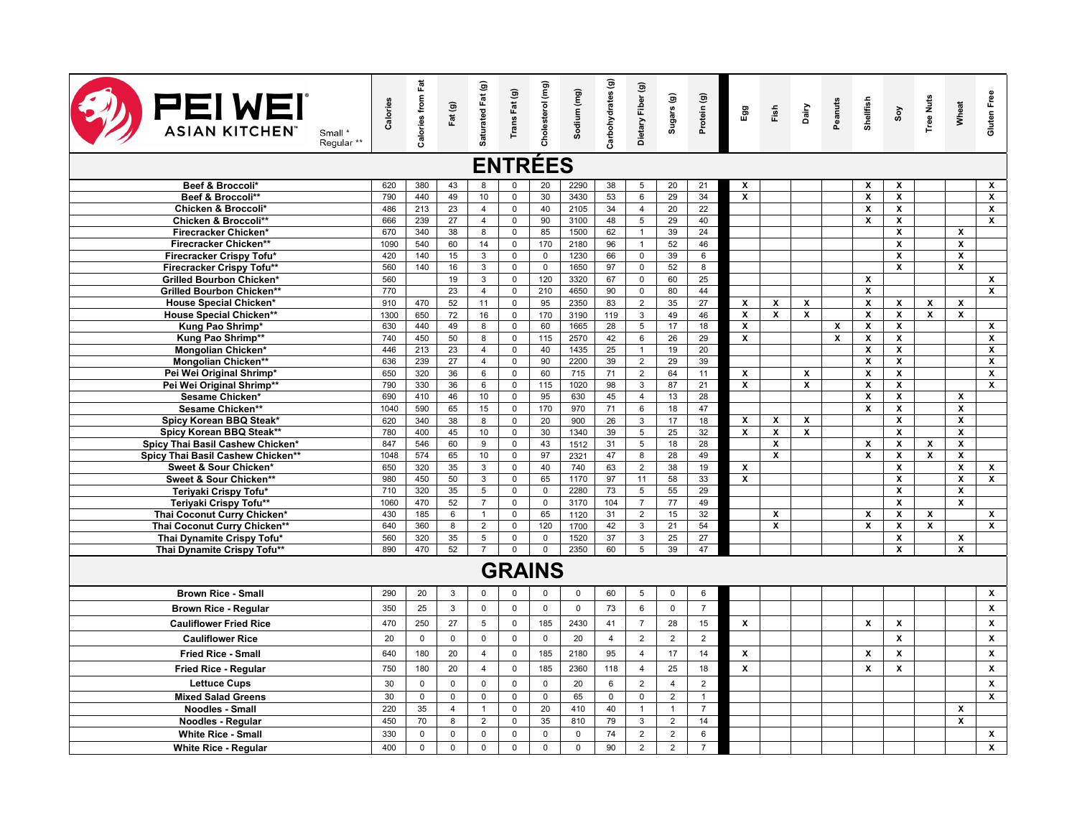| <b>PEIWEI</b><br><b>ASIAN KITCHEN®</b><br>Small *<br>Regular <sup>**</sup> | Calories    | <b>Calories from Fat</b> | Fat (g)        | Saturated Fat (g) | Trans Fat (g)              | Cholesterol (mg)   | Sodium (mg)  | Carbohydrates (g) | Dietary Fiber (g)                  | Sugars (g)     | Protein (g)    | Egg                     | Fish         | Dairy                   | Peanuts      | Shellfish               | Soy                     | <b>Tree Nuts</b> | Wheat                                   | Gluten Free             |
|----------------------------------------------------------------------------|-------------|--------------------------|----------------|-------------------|----------------------------|--------------------|--------------|-------------------|------------------------------------|----------------|----------------|-------------------------|--------------|-------------------------|--------------|-------------------------|-------------------------|------------------|-----------------------------------------|-------------------------|
| <b>ENTRÉES</b>                                                             |             |                          |                |                   |                            |                    |              |                   |                                    |                |                |                         |              |                         |              |                         |                         |                  |                                         |                         |
| Beef & Broccoli*                                                           | 620         | 380                      | 43             | 8                 |                            | 20                 | 2290         | 38                | 5                                  | 20             | 21             | x                       |              |                         |              | x                       | x                       |                  |                                         | x                       |
| Beef & Broccoli**                                                          | 790         | 440                      | 49             | 10                | $\mathbf 0$                | 30                 | 3430         | 53                | 6                                  | 29             | 34             | $\overline{\mathbf{x}}$ |              |                         |              | $\overline{\mathbf{x}}$ | $\boldsymbol{x}$        |                  |                                         | $\boldsymbol{x}$        |
| Chicken & Broccoli*                                                        | 486         | 213                      | 23             | $\overline{4}$    | $\mathbf 0$                | 40                 | 2105         | 34                | $\overline{4}$                     | 20             | 22             |                         |              |                         |              | x                       | X                       |                  |                                         | X                       |
| Chicken & Broccoli**                                                       | 666         | 239                      | 27             | $\overline{4}$    | $\mathbf 0$                | 90                 | 3100         | 48                | 5                                  | 29             | 40             |                         |              |                         |              | X                       | $\pmb{\chi}$            |                  |                                         | $\pmb{\chi}$            |
| Firecracker Chicken*                                                       | 670         | 340                      | 38             | 8                 | $\mathbf 0$                | 85                 | 1500         | 62                | $\mathbf{1}$                       | 39             | 24             |                         |              |                         |              |                         | X                       |                  | X                                       |                         |
| Firecracker Chicken**                                                      | 1090        | 540                      | 60             | 14                | $\mathsf 0$                | 170                | 2180         | 96                | $\mathbf{1}$                       | 52             | 46             |                         |              |                         |              |                         | $\pmb{\chi}$            |                  | $\pmb{\chi}$                            |                         |
| Firecracker Crispy Tofu*                                                   | 420         | 140                      | 15             | 3                 | $\mathsf 0$                | $\mathsf 0$        | 1230         | 66                | $\mathsf 0$                        | 39             | $\,6\,$        |                         |              |                         |              |                         | $\mathbf{x}$            |                  | $\mathsf{x}$<br>$\overline{\mathbf{x}}$ |                         |
| Firecracker Crispy Tofu**                                                  | 560<br>560  | 140                      | 16<br>19       | 3<br>3            | $\mathbf 0$<br>$\mathbf 0$ | $\mathsf 0$<br>120 | 1650<br>3320 | 97<br>67          | $\mathsf{O}\xspace$<br>$\mathsf 0$ | 52<br>60       | 8<br>25        |                         |              |                         |              | X                       | X                       |                  |                                         |                         |
| <b>Grilled Bourbon Chicken*</b><br><b>Grilled Bourbon Chicken**</b>        | 770         |                          | 23             | $\overline{4}$    | $\Omega$                   | 210                | 4650         | 90                | $\mathsf{O}$                       | 80             | 44             |                         |              |                         |              | x                       |                         |                  |                                         | $\mathbf{x}$<br>X       |
| <b>House Special Chicken*</b>                                              | 910         | 470                      | 52             | 11                | $\mathbf 0$                | 95                 | 2350         | 83                | $\overline{2}$                     | 35             | 27             | X                       | $\pmb{\chi}$ | X                       |              | x                       | X                       | X                | $\pmb{\chi}$                            |                         |
| <b>House Special Chicken**</b>                                             | 1300        | 650                      | 72             | 16                | $\mathbf 0$                | 170                | 3190         | 119               | 3                                  | 49             | 46             | x                       | X            | X                       |              | x                       | X                       | X                | X                                       |                         |
| Kung Pao Shrimp*                                                           | 630         | 440                      | 49             | 8                 | $\mathsf 0$                | 60                 | 1665         | 28                | 5                                  | 17             | 18             | x                       |              |                         | X            | X                       | $\pmb{\chi}$            |                  |                                         | $\pmb{\mathsf{x}}$      |
| Kung Pao Shrimp**                                                          | 740         | 450                      | 50             | 8                 | $\mathsf 0$                | 115                | 2570         | 42                | $6\overline{6}$                    | 26             | 29             | $\overline{\mathbf{x}}$ |              |                         | $\mathbf{x}$ | $\overline{\mathbf{x}}$ | $\mathbf{x}$            |                  |                                         | $\overline{\mathbf{x}}$ |
| Mongolian Chicken*                                                         | 446         | 213                      | 23             | $\overline{4}$    | $\mathbf 0$                | 40                 | 1435         | 25                | 1                                  | 19             | 20             |                         |              |                         |              | x                       | X                       |                  |                                         | $\pmb{\mathsf{x}}$      |
| <b>Mongolian Chicken**</b>                                                 | 636         | 239                      | 27             | $\overline{4}$    | $\mathsf 0$                | 90                 | 2200         | 39                | $\overline{2}$                     | 29             | 39             |                         |              |                         |              | x                       | $\boldsymbol{x}$        |                  |                                         | $\pmb{\mathsf{x}}$      |
| Pei Wei Original Shrimp*                                                   | 650         | 320                      | 36             | 6                 | 0                          | 60                 | 715          | 71                | $\overline{2}$                     | 64             | 11             | x                       |              | X                       |              | x                       | X                       |                  |                                         | $\pmb{\mathsf{x}}$      |
| Pei Wei Original Shrimp**                                                  | 790         | 330                      | 36             | 6                 | 0                          | $\frac{115}{2}$    | 1020         | 98                | 3                                  | 87             | 21             | $\overline{\mathbf{x}}$ |              | $\overline{\mathbf{x}}$ |              | x                       | X                       |                  |                                         | $\overline{\mathbf{x}}$ |
| Sesame Chicken*                                                            | 690         | 410                      | 46             | 10                | $\mathbf 0$                | 95                 | 630          | 45                | $\overline{4}$                     | 13             | 28             |                         |              |                         |              | x                       | $\boldsymbol{x}$        |                  | X                                       |                         |
| Sesame Chicken**                                                           | 1040        | 590                      | 65             | 15                | $\mathsf 0$                | 170                | 970          | 71                | $6\overline{6}$                    | 18             | 47             |                         |              |                         |              | X                       | $\overline{\mathbf{x}}$ |                  | $\overline{\mathbf{x}}$                 |                         |
| Spicy Korean BBQ Steak*                                                    | 620         | 340                      | 38             | 8                 | $\mathbf 0$                | 20                 | 900          | 26                | 3                                  | 17             | 18             | x                       | X            | x                       |              |                         | $\mathbf{x}$            |                  | $\overline{\mathbf{x}}$                 |                         |
| Spicy Korean BBQ Steak**                                                   | 780         | 400                      | 45             | 10                | $\Omega$                   | 30                 | 1340         | 39                | $5\overline{)}$                    | 25             | 32             | $\overline{\mathbf{x}}$ | X            | $\overline{\mathbf{x}}$ |              |                         | $\overline{\mathbf{x}}$ |                  | $\overline{\mathbf{x}}$                 |                         |
| Spicy Thai Basil Cashew Chicken*                                           | 847<br>1048 | 546<br>574               | 60<br>65       | 9                 | $\mathbf 0$<br>0           | 43<br>97           | 1512         | 31<br>47          | $5\overline{)}$<br>8               | 18             | 28<br>49       |                         | X            |                         |              | X<br>X                  | $\pmb{\chi}$            | х                | X<br>X                                  |                         |
| Spicy Thai Basil Cashew Chicken**<br>Sweet & Sour Chicken*                 | 650         | 320                      | 35             | 10<br>3           | 0                          | 40                 | 2321<br>740  | 63                | $\overline{2}$                     | 28<br>38       | 19             | x                       | X            |                         |              |                         | X<br>X                  | X                | $\overline{\mathbf{x}}$                 | x                       |
| Sweet & Sour Chicken**                                                     | 980         | 450                      | 50             | 3                 | 0                          | 65                 | 1170         | 97                | 11                                 | 58             | 33             | X                       |              |                         |              |                         | $\pmb{\chi}$            |                  | X                                       | X                       |
| Teriyaki Crispy Tofu*                                                      | 710         | 320                      | 35             | 5                 | $\mathbf 0$                | $\mathsf 0$        | 2280         | 73                | 5                                  | 55             | 29             |                         |              |                         |              |                         | $\boldsymbol{x}$        |                  | $\mathsf{x}$                            |                         |
| Teriyaki Crispy Tofu**                                                     | 1060        | 470                      | 52             | $\overline{7}$    | $\mathsf 0$                | $\mathsf 0$        | 3170         | 104               | $\overline{7}$                     | 77             | 49             |                         |              |                         |              |                         | $\mathbf{x}$            |                  | $\mathbf{x}$                            |                         |
| Thai Coconut Curry Chicken*                                                | 430         | 185                      | 6              | $\mathbf{1}$      | $\Omega$                   | 65                 | 1120         | 31                | $\overline{2}$                     | 15             | 32             |                         | $\pmb{\chi}$ |                         |              | X                       | $\pmb{\chi}$            | X                |                                         | X                       |
| Thai Coconut Curry Chicken**                                               | 640         | 360                      | 8              | $\overline{2}$    | $\mathbf 0$                | 120                | 1700         | 42                | 3                                  | 21             | 54             |                         | $\pmb{\chi}$ |                         |              | X                       | $\pmb{\chi}$            | $\pmb{\chi}$     |                                         | $\pmb{\chi}$            |
| Thai Dynamite Crispy Tofu*                                                 | 560         | 320                      | 35             | 5                 | $\mathbf 0$                | $\mathbf 0$        | 1520         | 37                | 3                                  | 25             | 27             |                         |              |                         |              |                         | X                       |                  | X                                       |                         |
| Thai Dynamite Crispy Tofu**                                                | 890         | 470                      | 52             | $\overline{7}$    | $\overline{0}$             | $\mathbf 0$        | 2350         | 60                | 5                                  | 39             | 47             |                         |              |                         |              |                         | $\pmb{\chi}$            |                  | $\pmb{\chi}$                            |                         |
|                                                                            |             |                          |                |                   |                            | <b>GRAINS</b>      |              |                   |                                    |                |                |                         |              |                         |              |                         |                         |                  |                                         |                         |
| <b>Brown Rice - Small</b>                                                  | 290         | 20                       | $\mathbf{3}$   | $\mathbf 0$       | $\mathbf 0$                | $\mathbf{0}$       | $\mathbf 0$  | 60                | 5                                  | $\mathbf 0$    | 6              |                         |              |                         |              |                         |                         |                  |                                         | $\mathbf{x}$            |
| <b>Brown Rice - Regular</b>                                                | 350         | 25                       | $\mathbf{3}$   | $\mathbf 0$       | $\mathbf 0$                | $\mathbf 0$        | $\mathbf 0$  | 73                | 6                                  | $\mathbf 0$    | $\overline{7}$ |                         |              |                         |              |                         |                         |                  |                                         | $\pmb{\chi}$            |
| <b>Cauliflower Fried Rice</b>                                              | 470         | 250                      | 27             | 5                 | $\mathbf 0$                | 185                | 2430         | 41                | $\overline{7}$                     | 28             | 15             | x                       |              |                         |              | X                       | $\boldsymbol{x}$        |                  |                                         | $\pmb{\mathsf{x}}$      |
| <b>Cauliflower Rice</b>                                                    | 20          | $\mathbf 0$              | $\mathbf 0$    | $\mathbf 0$       | $\mathbf 0$                | $\mathbf 0$        | 20           | $\overline{4}$    | $\overline{2}$                     | $\overline{2}$ | 2              |                         |              |                         |              |                         | $\mathbf{x}$            |                  |                                         | $\pmb{\chi}$            |
| Fried Rice - Small                                                         | 640         | 180                      | 20             | $\overline{4}$    | $\mathbf 0$                | 185                | 2180         | 95                | $\overline{4}$                     | 17             | 14             | x                       |              |                         |              | X                       | $\mathsf{x}$            |                  |                                         | x                       |
| Fried Rice - Regular                                                       | 750         | 180                      | 20             | $\overline{4}$    | $\Omega$                   | 185                | 2360         | 118               | $\overline{4}$                     | 25             | 18             | X                       |              |                         |              | X                       | X                       |                  |                                         | $\mathbf{x}$            |
| <b>Lettuce Cups</b>                                                        | 30          | $\mathbf 0$              | $\mathbf 0$    | $\Omega$          | $\mathbf 0$                | $\mathbf 0$        | 20           | 6                 | $\overline{2}$                     | $\overline{4}$ | $\overline{2}$ |                         |              |                         |              |                         |                         |                  |                                         | X                       |
| <b>Mixed Salad Greens</b>                                                  | 30          | $\mathbf 0$              | $\mathbf 0$    | $\mathbf 0$       | $\Omega$                   | $\mathbf 0$        | 65           | $\mathbf 0$       | $\mathbf 0$                        | $\overline{2}$ | $\mathbf{1}$   |                         |              |                         |              |                         |                         |                  |                                         | x                       |
| <b>Noodles - Small</b>                                                     | 220         | 35                       | $\overline{4}$ | $\mathbf{1}$      | $\mathsf 0$                | 20                 | 410          | 40                | $\mathbf{1}$                       | $\mathbf{1}$   | $\overline{7}$ |                         |              |                         |              |                         |                         |                  | X                                       |                         |
| Noodles - Regular                                                          | 450         | 70                       | 8              | $\overline{2}$    | $\mathbf 0$                | 35                 | 810          | 79                | 3                                  | $\overline{2}$ | 14             |                         |              |                         |              |                         |                         |                  | $\mathbf{x}$                            |                         |
| <b>White Rice - Small</b>                                                  | 330         | $\mathbf{0}$             | $\mathbf 0$    | $\mathbf 0$       | $\mathbf 0$                | $\mathbf 0$        | $\mathbf 0$  | 74                | $\overline{2}$                     | $\overline{2}$ | 6              |                         |              |                         |              |                         |                         |                  |                                         | $\mathbf{x}$            |
| <b>White Rice - Regular</b>                                                | 400         | $\mathsf 0$              | $\mathbf 0$    | $\mathbf 0$       | $\mathbf 0$                | $\mathbf 0$        | $\mathbf 0$  | 90                | $\overline{2}$                     | $\overline{2}$ | $\overline{7}$ |                         |              |                         |              |                         |                         |                  |                                         | $\pmb{\chi}$            |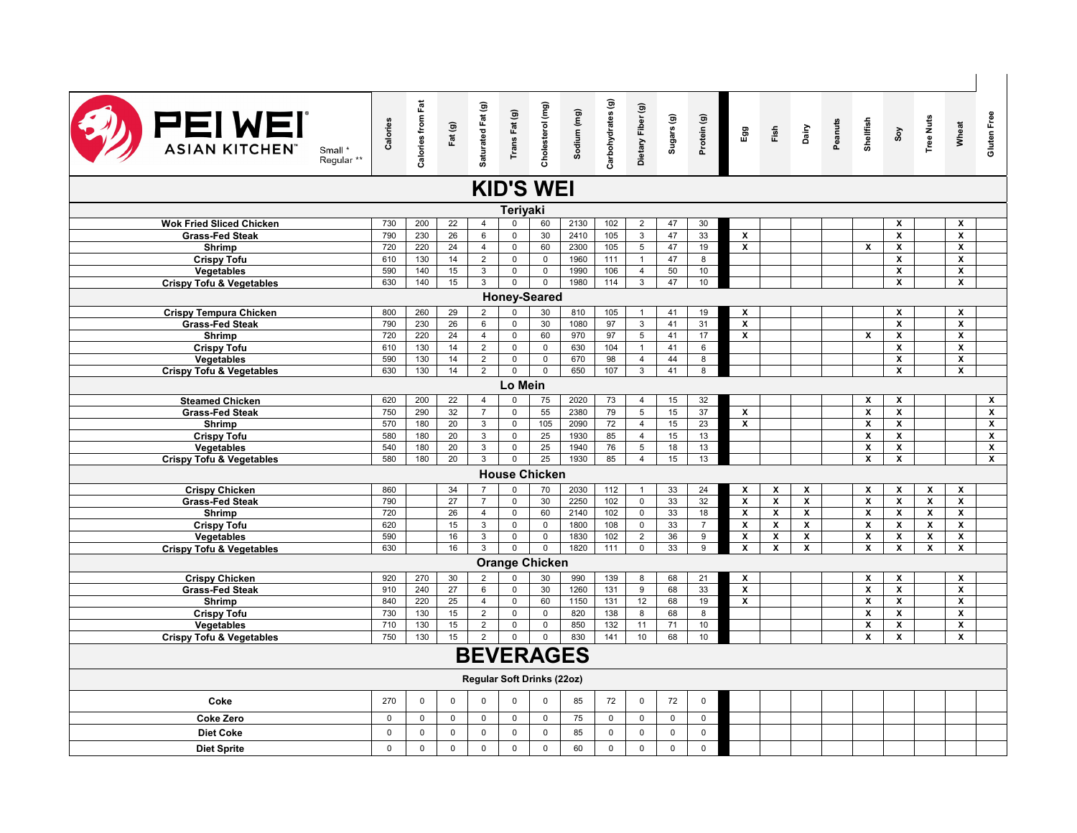| <b>PEIWEI</b><br><b>ASIAN KITCHEN®</b><br>Small *<br>Regular <sup>**</sup> | Calories    | <b>Calories from Fat</b> | Fat (g)      | Saturated Fat (g) |                                   | Trans Fat (g)<br>Cholesterol (mg) | Sodium (mg)<br>Carbohydrates (g)<br>Dietary Fiber (g)<br>Dietary Fiber (g)<br>Sugars (g) |                  |                 |             | Protein (g)    | Egg                     | Fish                    | Dairy                   | Peanuts | Shellfish                 |                         | Soy<br>Tree Nuts          | Wheat                     | <b>Gluten Free</b>      |
|----------------------------------------------------------------------------|-------------|--------------------------|--------------|-------------------|-----------------------------------|-----------------------------------|------------------------------------------------------------------------------------------|------------------|-----------------|-------------|----------------|-------------------------|-------------------------|-------------------------|---------|---------------------------|-------------------------|---------------------------|---------------------------|-------------------------|
|                                                                            |             |                          |              |                   | <b>KID'S WEI</b>                  |                                   |                                                                                          |                  |                 |             |                |                         |                         |                         |         |                           |                         |                           |                           |                         |
|                                                                            |             |                          |              |                   | Teriyaki                          |                                   |                                                                                          |                  |                 |             |                |                         |                         |                         |         |                           |                         |                           |                           |                         |
| <b>Wok Fried Sliced Chicken</b>                                            | 730         | 200                      | 22           | $\overline{4}$    | $\mathbf 0$                       | 60                                | 2130                                                                                     | 102              | $\overline{2}$  | 47          | 30             |                         |                         |                         |         |                           | x                       |                           | $\pmb{\chi}$              |                         |
| <b>Grass-Fed Steak</b>                                                     | 790         | 230                      | 26           | 6                 | $\mathsf 0$                       | 30                                | 2410                                                                                     | 105              | $\mathbf{3}$    | 47          | 33             | x                       |                         |                         |         |                           | $\pmb{\mathsf{x}}$      |                           | X                         |                         |
| Shrimp                                                                     | 720         | 220                      | 24           | $\overline{4}$    | $\mathbf{0}$                      | 60                                | 2300                                                                                     | 105              | 5               | 47          | 19             | $\mathsf{x}$            |                         |                         |         | $\mathsf{x}$              | x                       |                           | $\mathsf{x}$              |                         |
| <b>Crispy Tofu</b>                                                         | 610         | 130                      | 14           | $\overline{2}$    | $\mathsf 0$                       | $\mathsf 0$                       | 1960                                                                                     | 111              | $\mathbf{1}$    | 47          | 8              |                         |                         |                         |         |                           | X                       |                           | X                         |                         |
| <b>Vegetables</b>                                                          | 590         | 140                      | 15           | 3                 | $\mathsf 0$                       | $\mathbf 0$                       | 1990                                                                                     | 106              | $\overline{4}$  | 50          | 10             |                         |                         |                         |         |                           | X                       |                           | X                         |                         |
| <b>Crispy Tofu &amp; Vegetables</b>                                        | 630         | 140                      | 15           | $\overline{3}$    | $\overline{0}$                    | $\overline{0}$                    | 1980                                                                                     | 114              | $\overline{3}$  | 47          | 10             |                         |                         |                         |         |                           | X                       |                           | $\overline{\mathbf{x}}$   |                         |
| <b>Honey-Seared</b>                                                        |             |                          |              |                   |                                   |                                   |                                                                                          |                  |                 |             |                |                         |                         |                         |         |                           |                         |                           |                           |                         |
| <b>Crispy Tempura Chicken</b>                                              | 800         | 260                      | 29           | $\overline{2}$    | $\Omega$                          | 30                                | 810                                                                                      | 105              |                 | 41          | 19             | x                       |                         |                         |         |                           | x                       |                           | X                         |                         |
| <b>Grass-Fed Steak</b>                                                     | 790         | 230                      | 26           | 6                 | $\overline{0}$                    | 30                                | 1080                                                                                     | 97               | $\overline{3}$  | 41          | 31             | x                       |                         |                         |         |                           | $\overline{\mathbf{x}}$ |                           | $\overline{\mathbf{x}}$   |                         |
| <b>Shrimp</b>                                                              | 720         | 220                      | 24           | $\overline{4}$    | $\mathsf 0$                       | 60                                | 970                                                                                      | 97               | 5               | 41          | 17             | x                       |                         |                         |         | x                         | X                       |                           | X                         |                         |
| <b>Crispy Tofu</b>                                                         | 610         | 130                      | 14           | $\overline{2}$    | $\mathbf 0$                       | $\mathsf 0$                       | 630                                                                                      | 104              | $\mathbf{1}$    | 41          | 6              |                         |                         |                         |         |                           | x                       |                           | $\boldsymbol{\mathsf{x}}$ |                         |
| <b>Vegetables</b>                                                          | 590         | 130                      | 14           | $\overline{2}$    | $\overline{0}$                    | $\overline{0}$                    | 670                                                                                      | 98               | $\overline{4}$  | 44          | $\overline{8}$ |                         |                         |                         |         |                           | $\overline{\mathbf{x}}$ |                           | $\overline{\mathbf{x}}$   |                         |
| <b>Crispy Tofu &amp; Vegetables</b>                                        | 630         | 130                      | 14           | $\overline{2}$    | $\overline{0}$                    | $\mathsf 0$                       | 650                                                                                      | 107              | $\overline{3}$  | 41          | 8              |                         |                         |                         |         |                           | X                       |                           | $\overline{\mathbf{x}}$   |                         |
|                                                                            | Lo Mein     |                          |              |                   |                                   |                                   |                                                                                          |                  |                 |             |                |                         |                         |                         |         |                           |                         |                           |                           |                         |
| <b>Steamed Chicken</b>                                                     | 620         | 200                      | 22           | $\overline{4}$    | $\overline{0}$                    | 75                                | 2020                                                                                     | 73               | $\overline{4}$  | 15          | 32             |                         |                         |                         |         | X                         | X                       |                           |                           | $\overline{\mathbf{x}}$ |
| <b>Grass-Fed Steak</b>                                                     | 750         | 290                      | 32           | $\overline{7}$    | $\mathsf 0$                       | 55                                | 2380                                                                                     | 79               | $5\overline{)}$ | 15          | 37             | $\overline{\mathbf{x}}$ |                         |                         |         | $\overline{\mathbf{x}}$   | $\overline{\mathbf{x}}$ |                           |                           | $\overline{\mathbf{x}}$ |
| Shrimp                                                                     | 570         | 180                      | 20           | 3                 | $\mathsf 0$                       | 105                               | 2090                                                                                     | 72               | $\overline{4}$  | 15          | 23             | x                       |                         |                         |         | x                         | x                       |                           |                           | $\overline{\mathbf{x}}$ |
| <b>Crispy Tofu</b>                                                         | 580         | 180                      | 20           | 3                 | $\overline{0}$                    | 25                                | 1930                                                                                     | 85               | $\overline{4}$  | 15          | 13             |                         |                         |                         |         | $\mathbf x$               | $\overline{\mathbf{x}}$ |                           |                           | $\overline{\mathbf{x}}$ |
| Vegetables                                                                 | 540         | 180                      | 20           | 3                 | $\overline{0}$                    | 25                                | 1940                                                                                     | 76               | $5\overline{)}$ | 18          | 13             |                         |                         |                         |         | $\pmb{\mathsf{x}}$        | X                       |                           |                           | $\overline{\mathbf{x}}$ |
| <b>Crispy Tofu &amp; Vegetables</b>                                        | 580         | 180                      | 20           | 3                 | $\overline{0}$                    | 25                                | 1930                                                                                     | 85               | $\overline{4}$  | 15          | 13             |                         |                         |                         |         | X                         | X                       |                           |                           | $\overline{\mathbf{x}}$ |
|                                                                            |             |                          |              |                   | <b>House Chicken</b>              |                                   |                                                                                          |                  |                 |             |                |                         |                         |                         |         |                           |                         |                           |                           |                         |
| <b>Crispy Chicken</b>                                                      | 860         |                          | 34           | $\overline{7}$    | $\mathsf 0$                       | 70                                | 2030                                                                                     | 112              | $\mathbf{1}$    | 33          | 24             | x                       | X                       | X                       |         | X                         | X                       | X                         | X                         |                         |
| <b>Grass-Fed Steak</b>                                                     | 790         |                          | 27           | $\overline{7}$    | $\mathbf 0$                       | 30                                | 2250                                                                                     | 102              | $\mathsf{O}$    | 33          | 32             | x                       | X                       | X                       |         | $\pmb{\mathsf{x}}$        | X                       | X                         | X                         |                         |
| <b>Shrimp</b>                                                              | 720         |                          | 26           | $\overline{4}$    | $\mathbf 0$                       | 60                                | 2140                                                                                     | 102              | $\mathbf 0$     | 33          | 18             | X                       | $\pmb{\chi}$            | $\pmb{\mathsf{x}}$      |         | $\boldsymbol{\mathsf{x}}$ | x                       | $\pmb{\chi}$              | $\pmb{\chi}$              |                         |
| <b>Crispy Tofu</b>                                                         | 620         |                          | 15           | 3                 | $\mathsf{O}\xspace$               | $\mathsf 0$                       | 1800                                                                                     | 108              | $\mathbf 0$     | 33          | $\overline{7}$ | x                       | X                       | $\pmb{\mathsf{x}}$      |         | $\pmb{\chi}$              | x                       | $\boldsymbol{\mathsf{x}}$ | $\pmb{\chi}$              |                         |
| Vegetables                                                                 | 590         |                          | 16           | 3                 | $\overline{0}$                    | $\mathbf 0$                       | 1830                                                                                     | 102              | $\overline{2}$  | 36          | 9              | $\mathsf{x}$            | $\mathbf{x}$            | X                       |         | $\mathbf x$               | X                       | $\mathbf{x}$              | X                         |                         |
| <b>Crispy Tofu &amp; Vegetables</b>                                        | 630         |                          | 16           | $\overline{3}$    | $\overline{0}$                    | $\overline{0}$                    | 1820                                                                                     | $\overline{111}$ | $\overline{0}$  | 33          | $\overline{9}$ | X                       | $\overline{\mathbf{x}}$ | $\overline{\mathbf{x}}$ |         | $\overline{\mathbf{x}}$   | X                       | X                         | $\overline{\mathbf{x}}$   |                         |
|                                                                            |             |                          |              |                   | <b>Orange Chicken</b>             |                                   |                                                                                          |                  |                 |             |                |                         |                         |                         |         |                           |                         |                           |                           |                         |
| <b>Crispy Chicken</b>                                                      | 920         | 270                      | 30           | $\overline{2}$    | $\mathbf 0$                       | 30                                | 990                                                                                      | 139              | 8               | 68          | 21             | X                       |                         |                         |         | $\mathbf x$               | X                       |                           | $\mathbf{x}$              |                         |
| <b>Grass-Fed Steak</b>                                                     | 910         | 240                      | 27           | 6                 | $\overline{0}$                    | 30                                | 1260                                                                                     | $\overline{131}$ | $\overline{9}$  | 68          | 33             | $\overline{\mathbf{x}}$ |                         |                         |         | $\overline{\mathbf{x}}$   | $\overline{\mathbf{x}}$ |                           | $\overline{\mathbf{x}}$   |                         |
| Shrimp                                                                     | 840         | 220                      | 25           | $\overline{4}$    | $\mathbf 0$                       | 60                                | 1150                                                                                     | 131              | 12              | 68          | 19             | x                       |                         |                         |         | X                         | x                       |                           | X                         |                         |
| <b>Crispy Tofu</b>                                                         | 730         | 130                      | 15           | $\overline{2}$    | $\overline{0}$                    | $\mathbf 0$                       | 820                                                                                      | 138              | 8               | 68          | 8              |                         |                         |                         |         | $\overline{\mathbf{x}}$   | $\overline{\mathbf{x}}$ |                           | $\overline{\mathbf{x}}$   |                         |
| Vegetables                                                                 | 710         | 130                      | 15           | $\overline{2}$    | 0                                 | $\mathbf 0$                       | 850                                                                                      | 132              | 11              | 71          | 10             |                         |                         |                         |         | X                         | X                       |                           | X                         |                         |
| <b>Crispy Tofu &amp; Vegetables</b>                                        | 750         | 130                      | 15           | 2                 | $\mathbf{0}$                      | $\mathbf 0$                       | 830                                                                                      | 141              | 10              | 68          | 10             |                         |                         |                         |         | $\boldsymbol{\mathsf{x}}$ | $\pmb{\mathsf{x}}$      |                           | $\pmb{\chi}$              |                         |
|                                                                            |             |                          |              |                   |                                   |                                   | <b>BEVERAGES</b>                                                                         |                  |                 |             |                |                         |                         |                         |         |                           |                         |                           |                           |                         |
|                                                                            |             |                          |              |                   |                                   |                                   |                                                                                          |                  |                 |             |                |                         |                         |                         |         |                           |                         |                           |                           |                         |
|                                                                            |             |                          |              |                   | <b>Regular Soft Drinks (22oz)</b> |                                   |                                                                                          |                  |                 |             |                |                         |                         |                         |         |                           |                         |                           |                           |                         |
| Coke                                                                       | 270         | 0                        | $\mathsf 0$  | $\mathsf 0$       | $\mathsf 0$                       | $\mathsf 0$                       | 85                                                                                       | 72               | $\mathsf 0$     | 72          | $\pmb{0}$      |                         |                         |                         |         |                           |                         |                           |                           |                         |
| <b>Coke Zero</b>                                                           | $\mathbf 0$ | 0                        | $\mathbf 0$  | $\mathsf{O}$      | $\mathbf 0$                       | $\mathsf 0$                       | 75                                                                                       | $\mathbf 0$      | $\mathsf{O}$    | $\mathbf 0$ | $\mathsf 0$    |                         |                         |                         |         |                           |                         |                           |                           |                         |
| <b>Diet Coke</b>                                                           | $\mathbf 0$ | $\mathbf 0$              | $\mathsf 0$  | $\mathbf 0$       | $\mathsf 0$                       | $\mathbf 0$                       | 85                                                                                       | $\mathbf 0$      | $\mathsf 0$     | $\mathbf 0$ | $\mathbf 0$    |                         |                         |                         |         |                           |                         |                           |                           |                         |
|                                                                            |             |                          |              |                   |                                   |                                   |                                                                                          |                  |                 |             |                |                         |                         |                         |         |                           |                         |                           |                           |                         |
| <b>Diet Sprite</b>                                                         | $\mathbf 0$ | $\mathbf 0$              | $\mathbf{0}$ | $\mathbf 0$       | $\mathbf{0}$                      | $\mathbf 0$                       | 60                                                                                       | $\mathbf 0$      | $\mathbf 0$     | $\mathbf 0$ | $\mathbf 0$    |                         |                         |                         |         |                           |                         |                           |                           |                         |